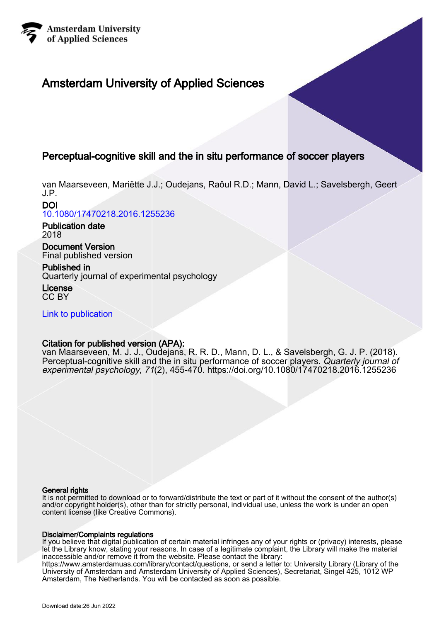

# Amsterdam University of Applied Sciences

# Perceptual-cognitive skill and the in situ performance of soccer players

van Maarseveen, Mariëtte J.J.; Oudejans, Raôul R.D.; Mann, David L.; Savelsbergh, Geert J.P.

DOI [10.1080/17470218.2016.1255236](https://doi.org/10.1080/17470218.2016.1255236)

Publication date 2018

Document Version Final published version

Published in Quarterly journal of experimental psychology

License CC BY

[Link to publication](https://research.hva.nl/en/publications/48505329-6da1-4849-8f41-78368fcae71b)

## Citation for published version (APA):

van Maarseveen, M. J. J., Oudejans, R. R. D., Mann, D. L., & Savelsbergh, G. J. P. (2018). Perceptual-cognitive skill and the in situ performance of soccer players. Quarterly journal of experimental psychology, 71(2), 455-470.<https://doi.org/10.1080/17470218.2016.1255236>

#### General rights

It is not permitted to download or to forward/distribute the text or part of it without the consent of the author(s) and/or copyright holder(s), other than for strictly personal, individual use, unless the work is under an open content license (like Creative Commons).

#### Disclaimer/Complaints regulations

If you believe that digital publication of certain material infringes any of your rights or (privacy) interests, please let the Library know, stating your reasons. In case of a legitimate complaint, the Library will make the material inaccessible and/or remove it from the website. Please contact the library:

https://www.amsterdamuas.com/library/contact/questions, or send a letter to: University Library (Library of the University of Amsterdam and Amsterdam University of Applied Sciences), Secretariat, Singel 425, 1012 WP Amsterdam, The Netherlands. You will be contacted as soon as possible.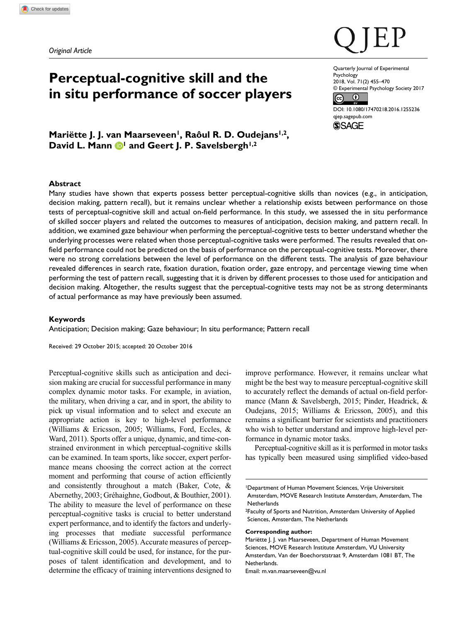*Original Article*

# **Perceptual-cognitive skill and the in situ performance of soccer players**

Quarterly Journal of Experimental Psychology 2018, Vol. 71(2) 455–470 © Experimental Psychology Society 2017  $\odot$  $\sqrt{cc}$ DOI: 10.1080/17470218.2016.1255236 [qjep.sagepub.com](https://qjep.sagepub.com)



Mariëtte J. J. van Maarseveen<sup>1</sup>, Raôul R. D. Oudejans<sup>1,2</sup>, David L. Mann **D**<sup>1</sup> and Geert J. P. Savelsbergh<sup>1,2</sup>

#### **Abstract**

Many studies have shown that experts possess better perceptual-cognitive skills than novices (e.g., in anticipation, decision making, pattern recall), but it remains unclear whether a relationship exists between performance on those tests of perceptual-cognitive skill and actual on-field performance. In this study, we assessed the in situ performance of skilled soccer players and related the outcomes to measures of anticipation, decision making, and pattern recall. In addition, we examined gaze behaviour when performing the perceptual-cognitive tests to better understand whether the underlying processes were related when those perceptual-cognitive tasks were performed. The results revealed that onfield performance could not be predicted on the basis of performance on the perceptual-cognitive tests. Moreover, there were no strong correlations between the level of performance on the different tests. The analysis of gaze behaviour revealed differences in search rate, fixation duration, fixation order, gaze entropy, and percentage viewing time when performing the test of pattern recall, suggesting that it is driven by different processes to those used for anticipation and decision making. Altogether, the results suggest that the perceptual-cognitive tests may not be as strong determinants of actual performance as may have previously been assumed.

#### **Keywords**

Anticipation; Decision making; Gaze behaviour; In situ performance; Pattern recall

Received: 29 October 2015; accepted: 20 October 2016

Perceptual-cognitive skills such as anticipation and decision making are crucial for successful performance in many complex dynamic motor tasks. For example, in aviation, the military, when driving a car, and in sport, the ability to pick up visual information and to select and execute an appropriate action is key to high-level performance (Williams & Ericsson, 2005; Williams, Ford, Eccles, & Ward, 2011). Sports offer a unique, dynamic, and time-constrained environment in which perceptual-cognitive skills can be examined. In team sports, like soccer, expert performance means choosing the correct action at the correct moment and performing that course of action efficiently and consistently throughout a match (Baker, Cote, & Abernethy, 2003; Gréhaighne, Godbout, & Bouthier, 2001). The ability to measure the level of performance on these perceptual-cognitive tasks is crucial to better understand expert performance, and to identify the factors and underlying processes that mediate successful performance (Williams & Ericsson, 2005). Accurate measures of perceptual-cognitive skill could be used, for instance, for the purposes of talent identification and development, and to determine the efficacy of training interventions designed to improve performance. However, it remains unclear what might be the best way to measure perceptual-cognitive skill to accurately reflect the demands of actual on-field performance (Mann & Savelsbergh, 2015; Pinder, Headrick, & Oudejans, 2015; Williams & Ericsson, 2005), and this remains a significant barrier for scientists and practitioners who wish to better understand and improve high-level performance in dynamic motor tasks.

Perceptual-cognitive skill as it is performed in motor tasks has typically been measured using simplified video-based

2Faculty of Sports and Nutrition, Amsterdam University of Applied Sciences, Amsterdam, The Netherlands

#### **Corresponding author:**

Mariëtte J. J. van Maarseveen, Department of Human Movement Sciences, MOVE Research Institute Amsterdam, VU University Amsterdam, Van der Boechorststraat 9, Amsterdam 1081 BT, The **Netherlands** 

Email: [m.van.maarseveen@vu.nl](mailto:m.van.maarseveen@vu.nl)

<sup>1</sup>Department of Human Movement Sciences, Vrije Universiteit Amsterdam, MOVE Research Institute Amsterdam, Amsterdam, The **Netherlands**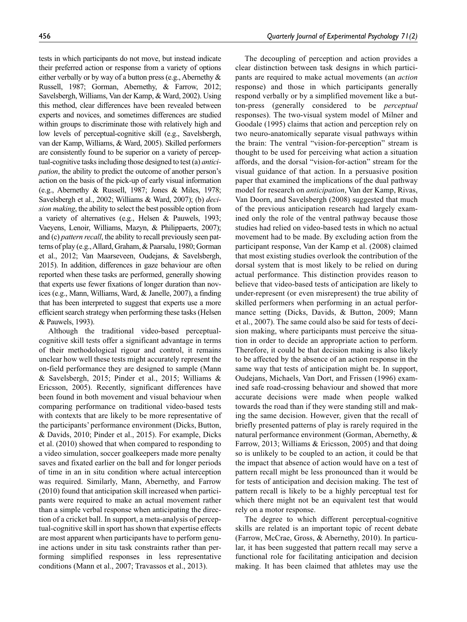tests in which participants do not move, but instead indicate their preferred action or response from a variety of options either verbally or by way of a button press (e.g., Abernethy & Russell, 1987; Gorman, Abernethy, & Farrow, 2012; Savelsbergh, Williams, Van der Kamp, & Ward, 2002). Using this method, clear differences have been revealed between experts and novices, and sometimes differences are studied within groups to discriminate those with relatively high and low levels of perceptual-cognitive skill (e.g., Savelsbergh, van der Kamp, Williams, & Ward, 2005). Skilled performers are consistently found to be superior on a variety of perceptual-cognitive tasks including those designed to test (a) *anticipation*, the ability to predict the outcome of another person's action on the basis of the pick-up of early visual information (e.g., Abernethy & Russell, 1987; Jones & Miles, 1978; Savelsbergh et al., 2002; Williams & Ward, 2007); (b) *decision making*, the ability to select the best possible option from a variety of alternatives (e.g., Helsen & Pauwels, 1993; Vaeyens, Lenoir, Williams, Mazyn, & Philippaerts, 2007); and (c) *pattern recall*, the ability to recall previously seen patterns of play (e.g., Allard, Graham, & Paarsalu, 1980; Gorman et al., 2012; Van Maarseveen, Oudejans, & Savelsbergh, 2015). In addition, differences in gaze behaviour are often reported when these tasks are performed, generally showing that experts use fewer fixations of longer duration than novices (e.g., Mann, Williams, Ward, & Janelle, 2007), a finding that has been interpreted to suggest that experts use a more efficient search strategy when performing these tasks (Helsen & Pauwels, 1993).

Although the traditional video-based perceptualcognitive skill tests offer a significant advantage in terms of their methodological rigour and control, it remains unclear how well these tests might accurately represent the on-field performance they are designed to sample (Mann & Savelsbergh, 2015; Pinder et al., 2015; Williams & Ericsson, 2005). Recently, significant differences have been found in both movement and visual behaviour when comparing performance on traditional video-based tests with contexts that are likely to be more representative of the participants' performance environment (Dicks, Button, & Davids, 2010; Pinder et al., 2015). For example, Dicks et al. (2010) showed that when compared to responding to a video simulation, soccer goalkeepers made more penalty saves and fixated earlier on the ball and for longer periods of time in an in situ condition where actual interception was required. Similarly, Mann, Abernethy, and Farrow (2010) found that anticipation skill increased when participants were required to make an actual movement rather than a simple verbal response when anticipating the direction of a cricket ball. In support, a meta-analysis of perceptual-cognitive skill in sport has shown that expertise effects are most apparent when participants have to perform genuine actions under in situ task constraints rather than performing simplified responses in less representative conditions (Mann et al., 2007; Travassos et al., 2013).

The decoupling of perception and action provides a clear distinction between task designs in which participants are required to make actual movements (an *action* response) and those in which participants generally respond verbally or by a simplified movement like a button-press (generally considered to be *perceptual* responses). The two-visual system model of Milner and Goodale (1995) claims that action and perception rely on two neuro-anatomically separate visual pathways within the brain: The ventral "vision-for-perception" stream is thought to be used for perceiving what action a situation affords, and the dorsal "vision-for-action" stream for the visual guidance of that action. In a persuasive position paper that examined the implications of the dual pathway model for research on *anticipation*, Van der Kamp, Rivas, Van Doorn, and Savelsbergh (2008) suggested that much of the previous anticipation research had largely examined only the role of the ventral pathway because those studies had relied on video-based tests in which no actual movement had to be made. By excluding action from the participant response, Van der Kamp et al. (2008) claimed that most existing studies overlook the contribution of the dorsal system that is most likely to be relied on during actual performance. This distinction provides reason to believe that video-based tests of anticipation are likely to under-represent (or even misrepresent) the true ability of skilled performers when performing in an actual performance setting (Dicks, Davids, & Button, 2009; Mann et al., 2007). The same could also be said for tests of decision making, where participants must perceive the situation in order to decide an appropriate action to perform. Therefore, it could be that decision making is also likely to be affected by the absence of an action response in the same way that tests of anticipation might be. In support, Oudejans, Michaels, Van Dort, and Frissen (1996) examined safe road-crossing behaviour and showed that more accurate decisions were made when people walked towards the road than if they were standing still and making the same decision. However, given that the recall of briefly presented patterns of play is rarely required in the natural performance environment (Gorman, Abernethy, & Farrow, 2013; Williams & Ericsson, 2005) and that doing so is unlikely to be coupled to an action, it could be that the impact that absence of action would have on a test of pattern recall might be less pronounced than it would be for tests of anticipation and decision making. The test of pattern recall is likely to be a highly perceptual test for which there might not be an equivalent test that would rely on a motor response.

The degree to which different perceptual-cognitive skills are related is an important topic of recent debate (Farrow, McCrae, Gross, & Abernethy, 2010). In particular, it has been suggested that pattern recall may serve a functional role for facilitating anticipation and decision making. It has been claimed that athletes may use the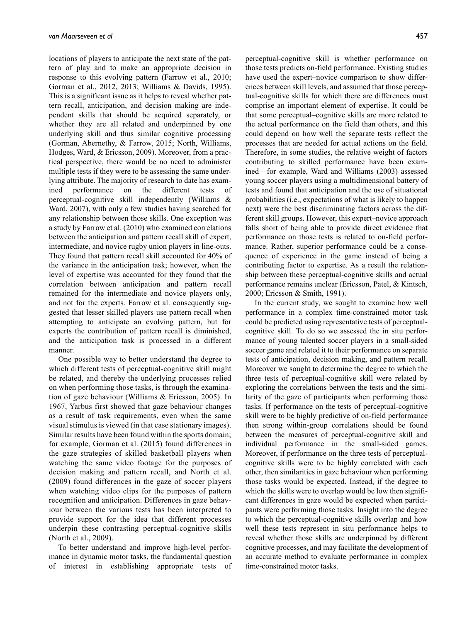locations of players to anticipate the next state of the pattern of play and to make an appropriate decision in response to this evolving pattern (Farrow et al., 2010; Gorman et al., 2012, 2013; Williams & Davids, 1995). This is a significant issue as it helps to reveal whether pattern recall, anticipation, and decision making are independent skills that should be acquired separately, or whether they are all related and underpinned by one underlying skill and thus similar cognitive processing (Gorman, Abernethy, & Farrow, 2015; North, Williams, Hodges, Ward, & Ericsson, 2009). Moreover, from a practical perspective, there would be no need to administer multiple tests if they were to be assessing the same underlying attribute. The majority of research to date has examined performance on the different tests of perceptual-cognitive skill independently (Williams & Ward, 2007), with only a few studies having searched for any relationship between those skills. One exception was a study by Farrow et al. (2010) who examined correlations between the anticipation and pattern recall skill of expert, intermediate, and novice rugby union players in line-outs. They found that pattern recall skill accounted for 40% of the variance in the anticipation task; however, when the level of expertise was accounted for they found that the correlation between anticipation and pattern recall remained for the intermediate and novice players only, and not for the experts. Farrow et al. consequently suggested that lesser skilled players use pattern recall when attempting to anticipate an evolving pattern, but for experts the contribution of pattern recall is diminished, and the anticipation task is processed in a different manner.

One possible way to better understand the degree to which different tests of perceptual-cognitive skill might be related, and thereby the underlying processes relied on when performing those tasks, is through the examination of gaze behaviour (Williams & Ericsson, 2005). In 1967, Yarbus first showed that gaze behaviour changes as a result of task requirements, even when the same visual stimulus is viewed (in that case stationary images). Similar results have been found within the sports domain; for example, Gorman et al. (2015) found differences in the gaze strategies of skilled basketball players when watching the same video footage for the purposes of decision making and pattern recall, and North et al. (2009) found differences in the gaze of soccer players when watching video clips for the purposes of pattern recognition and anticipation. Differences in gaze behaviour between the various tests has been interpreted to provide support for the idea that different processes underpin these contrasting perceptual-cognitive skills (North et al., 2009).

To better understand and improve high-level performance in dynamic motor tasks, the fundamental question of interest in establishing appropriate tests of perceptual-cognitive skill is whether performance on those tests predicts on-field performance. Existing studies have used the expert–novice comparison to show differences between skill levels, and assumed that those perceptual-cognitive skills for which there are differences must comprise an important element of expertise. It could be that some perceptual–cognitive skills are more related to the actual performance on the field than others, and this could depend on how well the separate tests reflect the processes that are needed for actual actions on the field. Therefore, in some studies, the relative weight of factors contributing to skilled performance have been examined—for example, Ward and Williams (2003) assessed young soccer players using a multidimensional battery of tests and found that anticipation and the use of situational probabilities (i.e., expectations of what is likely to happen next) were the best discriminating factors across the different skill groups. However, this expert–novice approach falls short of being able to provide direct evidence that performance on those tests is related to on-field performance. Rather, superior performance could be a consequence of experience in the game instead of being a contributing factor to expertise. As a result the relationship between these perceptual-cognitive skills and actual performance remains unclear (Ericsson, Patel, & Kintsch, 2000; Ericsson & Smith, 1991).

In the current study, we sought to examine how well performance in a complex time-constrained motor task could be predicted using representative tests of perceptualcognitive skill. To do so we assessed the in situ performance of young talented soccer players in a small-sided soccer game and related it to their performance on separate tests of anticipation, decision making, and pattern recall. Moreover we sought to determine the degree to which the three tests of perceptual-cognitive skill were related by exploring the correlations between the tests and the similarity of the gaze of participants when performing those tasks. If performance on the tests of perceptual-cognitive skill were to be highly predictive of on-field performance then strong within-group correlations should be found between the measures of perceptual-cognitive skill and individual performance in the small-sided games. Moreover, if performance on the three tests of perceptualcognitive skills were to be highly correlated with each other, then similarities in gaze behaviour when performing those tasks would be expected. Instead, if the degree to which the skills were to overlap would be low then significant differences in gaze would be expected when participants were performing those tasks. Insight into the degree to which the perceptual-cognitive skills overlap and how well these tests represent in situ performance helps to reveal whether those skills are underpinned by different cognitive processes, and may facilitate the development of an accurate method to evaluate performance in complex time-constrained motor tasks.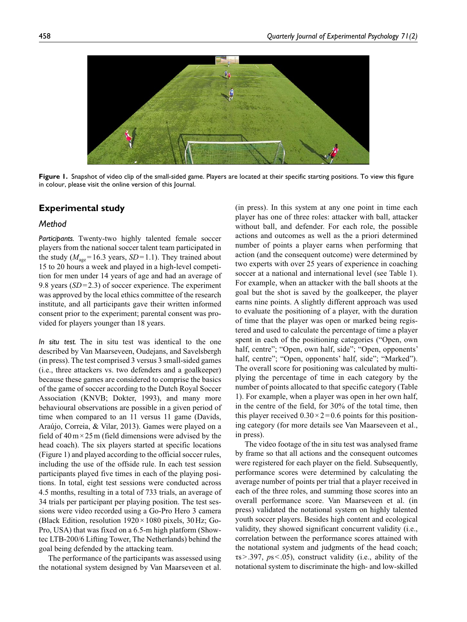

Figure 1. Snapshot of video clip of the small-sided game. Players are located at their specific starting positions. To view this figure in colour, please visit the online version of this Journal.

### **Experimental study**

#### *Method*

*Participants.* Twenty-two highly talented female soccer players from the national soccer talent team participated in the study  $(M<sub>age</sub>=16.3 \text{ years}, SD=1.1)$ . They trained about 15 to 20 hours a week and played in a high-level competition for men under 14 years of age and had an average of 9.8 years (*SD*=2.3) of soccer experience. The experiment was approved by the local ethics committee of the research institute, and all participants gave their written informed consent prior to the experiment; parental consent was provided for players younger than 18 years.

*In situ test.* The in situ test was identical to the one described by Van Maarseveen, Oudejans, and Savelsbergh (in press). The test comprised 3 versus 3 small-sided games (i.e., three attackers vs. two defenders and a goalkeeper) because these games are considered to comprise the basics of the game of soccer according to the Dutch Royal Soccer Association (KNVB; Dokter, 1993), and many more behavioural observations are possible in a given period of time when compared to an 11 versus 11 game (Davids, Araújo, Correia, & Vilar, 2013). Games were played on a field of  $40 \text{ m} \times 25 \text{ m}$  (field dimensions were advised by the head coach). The six players started at specific locations (Figure 1) and played according to the official soccer rules, including the use of the offside rule. In each test session participants played five times in each of the playing positions. In total, eight test sessions were conducted across 4.5 months, resulting in a total of 733 trials, an average of 34 trials per participant per playing position. The test sessions were video recorded using a Go-Pro Hero 3 camera (Black Edition, resolution 1920×1080 pixels, 30Hz; Go-Pro, USA) that was fixed on a 6.5-m high platform (Showtec LTB-200/6 Lifting Tower, The Netherlands) behind the goal being defended by the attacking team.

The performance of the participants was assessed using the notational system designed by Van Maarseveen et al.

(in press). In this system at any one point in time each player has one of three roles: attacker with ball, attacker without ball, and defender. For each role, the possible actions and outcomes as well as the a priori determined number of points a player earns when performing that action (and the consequent outcome) were determined by two experts with over 25 years of experience in coaching soccer at a national and international level (see Table 1). For example, when an attacker with the ball shoots at the goal but the shot is saved by the goalkeeper, the player earns nine points. A slightly different approach was used to evaluate the positioning of a player, with the duration of time that the player was open or marked being registered and used to calculate the percentage of time a player spent in each of the positioning categories ("Open, own half, centre"; "Open, own half, side"; "Open, opponents' half, centre"; "Open, opponents' half, side"; "Marked"). The overall score for positioning was calculated by multiplying the percentage of time in each category by the number of points allocated to that specific category (Table 1). For example, when a player was open in her own half, in the centre of the field, for 30% of the total time, then this player received  $0.30 \times 2=0.6$  points for this positioning category (for more details see Van Maarseveen et al., in press).

The video footage of the in situ test was analysed frame by frame so that all actions and the consequent outcomes were registered for each player on the field. Subsequently, performance scores were determined by calculating the average number of points per trial that a player received in each of the three roles, and summing those scores into an overall performance score. Van Maarseveen et al. (in press) validated the notational system on highly talented youth soccer players. Besides high content and ecological validity, they showed significant concurrent validity (i.e., correlation between the performance scores attained with the notational system and judgments of the head coach; τs>.397, *p*s<.05), construct validity (i.e., ability of the notational system to discriminate the high- and low-skilled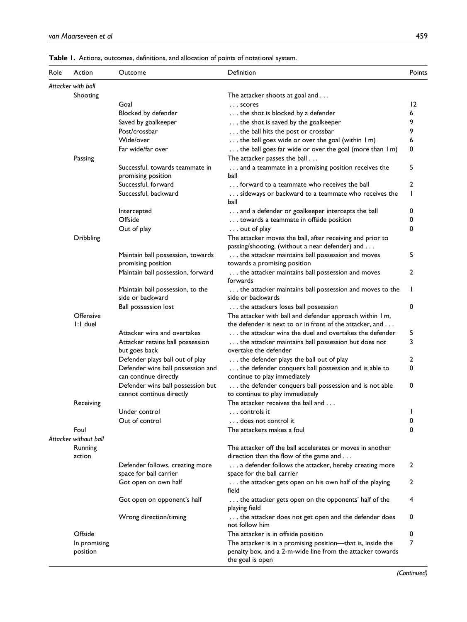| Role | Action                        | Outcome                                                       | Definition                                                                                                           | Points       |
|------|-------------------------------|---------------------------------------------------------------|----------------------------------------------------------------------------------------------------------------------|--------------|
|      | Attacker with ball            |                                                               |                                                                                                                      |              |
|      | Shooting                      |                                                               | The attacker shoots at goal and $\dots$                                                                              |              |
|      |                               | Goal                                                          | $\ldots$ scores                                                                                                      | 12           |
|      |                               | Blocked by defender                                           | the shot is blocked by a defender                                                                                    | 6            |
|      |                               | Saved by goalkeeper                                           | the shot is saved by the goalkeeper                                                                                  | 9            |
|      |                               | Post/crossbar                                                 | the ball hits the post or crossbar                                                                                   | 9            |
|      |                               | Wide/over                                                     | the ball goes wide or over the goal (within I m)                                                                     | 6            |
|      | Passing                       | Far wide/far over                                             | the ball goes far wide or over the goal (more than Im)<br>The attacker passes the ball                               | 0            |
|      |                               | Successful, towards teammate in<br>promising position         | and a teammate in a promising position receives the<br>ball                                                          | 5            |
|      |                               | Successful, forward                                           | forward to a teammate who receives the ball                                                                          | 2            |
|      |                               | Successful, backward                                          | sideways or backward to a teammate who receives the<br>ball                                                          | T            |
|      |                               | Intercepted                                                   | and a defender or goalkeeper intercepts the ball                                                                     | 0            |
|      |                               | Offside                                                       | towards a teammate in offside position                                                                               | 0            |
|      |                               | Out of play                                                   | $\ldots$ out of play                                                                                                 | 0            |
|      | Dribbling                     |                                                               | The attacker moves the ball, after receiving and prior to<br>passing/shooting, (without a near defender) and         |              |
|      |                               | Maintain ball possession, towards<br>promising position       | the attacker maintains ball possession and moves<br>towards a promising position                                     | 5            |
|      |                               | Maintain ball possession, forward                             | the attacker maintains ball possession and moves<br>forwards                                                         | $\mathbf{2}$ |
|      |                               | Maintain ball possession, to the<br>side or backward          | the attacker maintains ball possession and moves to the<br>side or backwards                                         | ı            |
|      |                               | <b>Ball possession lost</b>                                   | the attackers loses ball possession                                                                                  | 0            |
|      | Offensive<br>I:I duel         |                                                               | The attacker with ball and defender approach within I m,<br>the defender is next to or in front of the attacker, and |              |
|      |                               | Attacker wins and overtakes                                   | the attacker wins the duel and overtakes the defender                                                                | 5            |
|      |                               | Attacker retains ball possession                              | the attacker maintains ball possession but does not                                                                  | 3            |
|      |                               | but goes back                                                 | overtake the defender                                                                                                |              |
|      |                               | Defender plays ball out of play                               | the defender plays the ball out of play                                                                              | 2            |
|      |                               | Defender wins ball possession and<br>can continue directly    | the defender conquers ball possession and is able to<br>continue to play immediately                                 | 0            |
|      |                               | Defender wins ball possession but<br>cannot continue directly | the defender conquers ball possession and is not able<br>to continue to play immediately                             | 0            |
|      | Receiving                     |                                                               | The attacker receives the ball and                                                                                   |              |
|      |                               | Under control                                                 | controls it                                                                                                          |              |
|      |                               | Out of control                                                | does not control it                                                                                                  | 0            |
|      | Foul<br>Attacker without ball |                                                               | The attackers makes a foul                                                                                           | 0            |
|      | Running<br>action             |                                                               | The attacker off the ball accelerates or moves in another<br>direction than the flow of the game and                 |              |
|      |                               | Defender follows, creating more<br>space for ball carrier     | a defender follows the attacker, hereby creating more<br>space for the ball carrier                                  | 2            |
|      |                               | Got open on own half                                          | the attacker gets open on his own half of the playing<br>field                                                       | 2            |
|      |                               | Got open on opponent's half                                   | the attacker gets open on the opponents' half of the<br>playing field                                                | 4            |
|      |                               | Wrong direction/timing                                        | the attacker does not get open and the defender does<br>not follow him                                               | 0            |
|      | Offside                       |                                                               | The attacker is in offside position                                                                                  | 0            |
|      | In promising                  |                                                               | The attacker is in a promising position-that is, inside the                                                          | 7            |
|      | position                      |                                                               | penalty box, and a 2-m-wide line from the attacker towards<br>the goal is open                                       |              |

**Table 1.** Actions, outcomes, definitions, and allocation of points of notational system.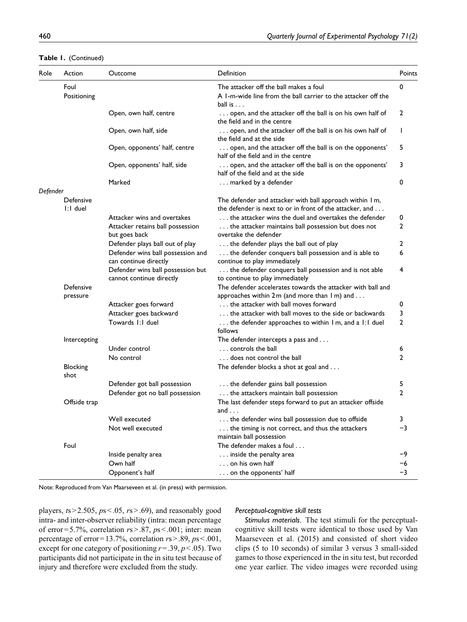|  | Table I. (Continued) |  |
|--|----------------------|--|
|  |                      |  |

| Role     | Action                | Outcome                                                       | Definition                                                                                                                  | Points         |
|----------|-----------------------|---------------------------------------------------------------|-----------------------------------------------------------------------------------------------------------------------------|----------------|
|          | Foul<br>Positioning   |                                                               | The attacker off the ball makes a foul<br>A 1-m-wide line from the ball carrier to the attacker off the<br>ball is $\ldots$ | 0              |
|          |                       | Open, own half, centre                                        | open, and the attacker off the ball is on his own half of<br>the field and in the centre                                    | $\overline{2}$ |
|          |                       | Open, own half, side                                          | open, and the attacker off the ball is on his own half of<br>the field and at the side                                      | $\mathbf{I}$   |
|          |                       | Open, opponents' half, centre                                 | open, and the attacker off the ball is on the opponents'<br>half of the field and in the centre                             | 5              |
|          |                       | Open, opponents' half, side                                   | open, and the attacker off the ball is on the opponents'<br>half of the field and at the side                               | 3              |
|          |                       | Marked                                                        | marked by a defender                                                                                                        | 0              |
| Defender |                       |                                                               |                                                                                                                             |                |
|          | Defensive<br>I:I duel |                                                               | The defender and attacker with ball approach within I m,<br>the defender is next to or in front of the attacker, and        |                |
|          |                       | Attacker wins and overtakes                                   | the attacker wins the duel and overtakes the defender                                                                       | 0              |
|          |                       | Attacker retains ball possession<br>but goes back             | the attacker maintains ball possession but does not<br>overtake the defender                                                | 2              |
|          |                       | Defender plays ball out of play                               | the defender plays the ball out of play                                                                                     | 2              |
|          |                       | Defender wins ball possession and<br>can continue directly    | the defender conquers ball possession and is able to<br>continue to play immediately                                        | 6              |
|          |                       | Defender wins ball possession but<br>cannot continue directly | the defender conquers ball possession and is not able<br>to continue to play immediately                                    | 4              |
|          | Defensive<br>pressure |                                                               | The defender accelerates towards the attacker with ball and<br>approaches within 2m (and more than 1m) and                  |                |
|          |                       | Attacker goes forward                                         | the attacker with ball moves forward                                                                                        | 0              |
|          |                       | Attacker goes backward                                        | the attacker with ball moves to the side or backwards                                                                       | 3              |
|          |                       | Towards I: I duel                                             | the defender approaches to within I m, and a 1:1 duel<br>follows                                                            | $\mathbf{2}$   |
|          | Intercepting          |                                                               | The defender intercepts a pass and                                                                                          |                |
|          |                       | Under control                                                 | controls the ball                                                                                                           | 6              |
|          |                       | No control                                                    | does not control the ball                                                                                                   | 2              |
|          | Blocking<br>shot      |                                                               | The defender blocks a shot at goal and                                                                                      |                |
|          |                       | Defender got ball possession                                  | the defender gains ball possession                                                                                          | 5              |
|          |                       | Defender got no ball possession                               | the attackers maintain ball possession                                                                                      | $\mathbf{2}$   |
|          | Offside trap          |                                                               | The last defender steps forward to put an attacker offside<br>and $\ldots$                                                  |                |
|          |                       | Well executed                                                 | the defender wins ball possession due to offside                                                                            | 3              |
|          |                       | Not well executed                                             | the timing is not correct, and thus the attackers<br>maintain ball possession                                               | -3             |
|          | Foul                  |                                                               | The defender makes a foul $\ldots$                                                                                          |                |
|          |                       | Inside penalty area                                           | inside the penalty area                                                                                                     | -9             |
|          |                       | Own half                                                      | $\ldots$ on his own half                                                                                                    | -6             |
|          |                       | Opponent's half                                               | on the opponents' half                                                                                                      | $-3$           |

Note: Reproduced from Van Maarseveen et al. (in press) with permission.

players, *t*s>2.505, *p*s<.05, *r*s>.69), and reasonably good intra- and inter-observer reliability (intra: mean percentage of error=5.7%, correlation *r*s>.87, *p*s<.001; inter: mean percentage of error=13.7%, correlation *r*s>.89, *p*s<.001, except for one category of positioning *r*=.39, *p*<.05). Two participants did not participate in the in situ test because of injury and therefore were excluded from the study.

#### *Perceptual-cognitive skill tests*

*Stimulus materials*. The test stimuli for the perceptualcognitive skill tests were identical to those used by Van Maarseveen et al. (2015) and consisted of short video clips (5 to 10 seconds) of similar 3 versus 3 small-sided games to those experienced in the in situ test, but recorded one year earlier. The video images were recorded using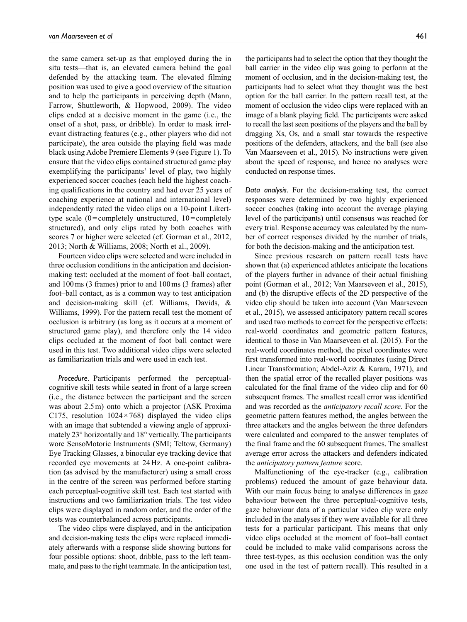the same camera set-up as that employed during the in situ tests—that is, an elevated camera behind the goal defended by the attacking team. The elevated filming position was used to give a good overview of the situation and to help the participants in perceiving depth (Mann, Farrow, Shuttleworth, & Hopwood, 2009). The video clips ended at a decisive moment in the game (i.e., the onset of a shot, pass, or dribble). In order to mask irrelevant distracting features (e.g., other players who did not participate), the area outside the playing field was made black using Adobe Premiere Elements 9 (see Figure 1). To ensure that the video clips contained structured game play exemplifying the participants' level of play, two highly experienced soccer coaches (each held the highest coaching qualifications in the country and had over 25 years of coaching experience at national and international level) independently rated the video clips on a 10-point Likerttype scale  $(0=$ completely unstructured,  $10=$ completely structured), and only clips rated by both coaches with scores 7 or higher were selected (cf. Gorman et al., 2012, 2013; North & Williams, 2008; North et al., 2009).

Fourteen video clips were selected and were included in three occlusion conditions in the anticipation and decisionmaking test: occluded at the moment of foot–ball contact, and 100ms (3 frames) prior to and 100ms (3 frames) after foot–ball contact, as is a common way to test anticipation and decision-making skill (cf. Williams, Davids, & Williams, 1999). For the pattern recall test the moment of occlusion is arbitrary (as long as it occurs at a moment of structured game play), and therefore only the 14 video clips occluded at the moment of foot–ball contact were used in this test. Two additional video clips were selected as familiarization trials and were used in each test.

*Procedure*. Participants performed the perceptualcognitive skill tests while seated in front of a large screen (i.e., the distance between the participant and the screen was about 2.5m) onto which a projector (ASK Proxima C175, resolution  $1024 \times 768$ ) displayed the video clips with an image that subtended a viewing angle of approximately 23° horizontally and 18° vertically. The participants wore SensoMotoric Instruments (SMI; Teltow, Germany) Eye Tracking Glasses, a binocular eye tracking device that recorded eye movements at 24Hz. A one-point calibration (as advised by the manufacturer) using a small cross in the centre of the screen was performed before starting each perceptual-cognitive skill test. Each test started with instructions and two familiarization trials. The test video clips were displayed in random order, and the order of the tests was counterbalanced across participants.

The video clips were displayed, and in the anticipation and decision-making tests the clips were replaced immediately afterwards with a response slide showing buttons for four possible options: shoot, dribble, pass to the left teammate, and pass to the right teammate. In the anticipation test,

the participants had to select the option that they thought the ball carrier in the video clip was going to perform at the moment of occlusion, and in the decision-making test, the participants had to select what they thought was the best option for the ball carrier. In the pattern recall test, at the moment of occlusion the video clips were replaced with an image of a blank playing field. The participants were asked to recall the last seen positions of the players and the ball by dragging Xs, Os, and a small star towards the respective positions of the defenders, attackers, and the ball (see also Van Maarseveen et al., 2015). No instructions were given about the speed of response, and hence no analyses were conducted on response times.

*Data analysis.* For the decision-making test, the correct responses were determined by two highly experienced soccer coaches (taking into account the average playing level of the participants) until consensus was reached for every trial. Response accuracy was calculated by the number of correct responses divided by the number of trials, for both the decision-making and the anticipation test.

Since previous research on pattern recall tests have shown that (a) experienced athletes anticipate the locations of the players further in advance of their actual finishing point (Gorman et al., 2012; Van Maarseveen et al., 2015), and (b) the disruptive effects of the 2D perspective of the video clip should be taken into account (Van Maarseveen et al., 2015), we assessed anticipatory pattern recall scores and used two methods to correct for the perspective effects: real-world coordinates and geometric pattern features, identical to those in Van Maarseveen et al. (2015). For the real-world coordinates method, the pixel coordinates were first transformed into real-world coordinates (using Direct Linear Transformation; Abdel-Aziz & Karara, 1971), and then the spatial error of the recalled player positions was calculated for the final frame of the video clip and for 60 subsequent frames. The smallest recall error was identified and was recorded as the *anticipatory recall score*. For the geometric pattern features method, the angles between the three attackers and the angles between the three defenders were calculated and compared to the answer templates of the final frame and the 60 subsequent frames. The smallest average error across the attackers and defenders indicated the *anticipatory pattern feature* score.

Malfunctioning of the eye-tracker (e.g., calibration problems) reduced the amount of gaze behaviour data. With our main focus being to analyse differences in gaze behaviour between the three perceptual-cognitive tests, gaze behaviour data of a particular video clip were only included in the analyses if they were available for all three tests for a particular participant. This means that only video clips occluded at the moment of foot–ball contact could be included to make valid comparisons across the three test-types, as this occlusion condition was the only one used in the test of pattern recall). This resulted in a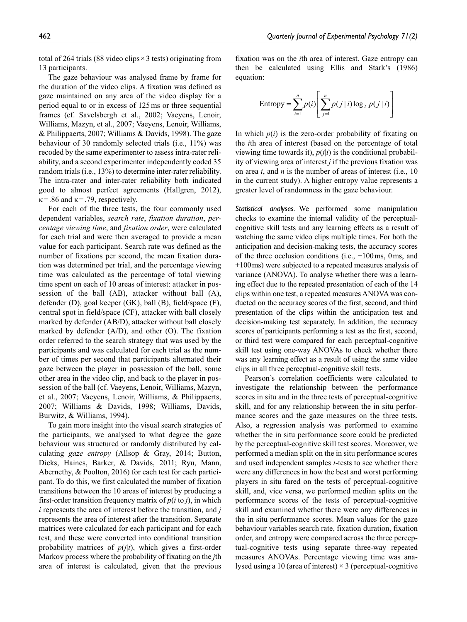total of 264 trials (88 video clips  $\times$  3 tests) originating from 13 participants.

The gaze behaviour was analysed frame by frame for the duration of the video clips. A fixation was defined as gaze maintained on any area of the video display for a period equal to or in excess of 125ms or three sequential frames (cf. Savelsbergh et al., 2002; Vaeyens, Lenoir, Williams, Mazyn, et al., 2007; Vaeyens, Lenoir, Williams, & Philippaerts, 2007; Williams & Davids, 1998). The gaze behaviour of 30 randomly selected trials (i.e., 11%) was recoded by the same experimenter to assess intra-rater reliability, and a second experimenter independently coded 35 random trials (i.e., 13%) to determine inter-rater reliability. The intra-rater and inter-rater reliability both indicated good to almost perfect agreements (Hallgren, 2012),  $\kappa$ =.86 and  $\kappa$ =.79, respectively.

For each of the three tests, the four commonly used dependent variables, *search rate*, *fixation duration*, *percentage viewing time*, and *fixation order*, were calculated for each trial and were then averaged to provide a mean value for each participant. Search rate was defined as the number of fixations per second, the mean fixation duration was determined per trial, and the percentage viewing time was calculated as the percentage of total viewing time spent on each of 10 areas of interest: attacker in possession of the ball (AB), attacker without ball (A), defender (D), goal keeper (GK), ball (B), field/space (F), central spot in field/space (CF), attacker with ball closely marked by defender (AB/D), attacker without ball closely marked by defender (A/D), and other (O). The fixation order referred to the search strategy that was used by the participants and was calculated for each trial as the number of times per second that participants alternated their gaze between the player in possession of the ball, some other area in the video clip, and back to the player in possession of the ball (cf. Vaeyens, Lenoir, Williams, Mazyn, et al., 2007; Vaeyens, Lenoir, Williams, & Philippaerts, 2007; Williams & Davids, 1998; Williams, Davids, Burwitz, & Williams, 1994).

To gain more insight into the visual search strategies of the participants, we analysed to what degree the gaze behaviour was structured or randomly distributed by calculating *gaze entropy* (Allsop & Gray, 2014; Button, Dicks, Haines, Barker, & Davids, 2011; Ryu, Mann, Abernethy, & Poolton, 2016) for each test for each participant. To do this, we first calculated the number of fixation transitions between the 10 areas of interest by producing a first-order transition frequency matrix of *p*(*i* to *j*), in which *i* represents the area of interest before the transition, and *j* represents the area of interest after the transition. Separate matrices were calculated for each participant and for each test, and these were converted into conditional transition probability matrices of *p*(*j*|*t*), which gives a first-order Markov process where the probability of fixating on the *j*th area of interest is calculated, given that the previous

fixation was on the *i*th area of interest. Gaze entropy can then be calculated using Ellis and Stark's (1986) equation:

Entropy = 
$$
\sum_{i=1}^{n} p(i) \left[ \sum_{j=1}^{n} p(j|i) \log_2 p(j|i) \right]
$$

In which  $p(i)$  is the zero-order probability of fixating on the *i*th area of interest (based on the percentage of total viewing time towards it),  $p(j|i)$  is the conditional probability of viewing area of interest *j* if the previous fixation was on area *i*, and *n* is the number of areas of interest (i.e., 10 in the current study). A higher entropy value represents a greater level of randomness in the gaze behaviour.

*Statistical analyses.* We performed some manipulation checks to examine the internal validity of the perceptualcognitive skill tests and any learning effects as a result of watching the same video clips multiple times. For both the anticipation and decision-making tests, the accuracy scores of the three occlusion conditions (i.e., −100ms, 0ms, and +100ms) were subjected to a repeated measures analysis of variance (ANOVA). To analyse whether there was a learning effect due to the repeated presentation of each of the 14 clips within one test, a repeated measures ANOVA was conducted on the accuracy scores of the first, second, and third presentation of the clips within the anticipation test and decision-making test separately. In addition, the accuracy scores of participants performing a test as the first, second, or third test were compared for each perceptual-cognitive skill test using one-way ANOVAs to check whether there was any learning effect as a result of using the same video clips in all three perceptual-cognitive skill tests.

Pearson's correlation coefficients were calculated to investigate the relationship between the performance scores in situ and in the three tests of perceptual-cognitive skill, and for any relationship between the in situ performance scores and the gaze measures on the three tests. Also, a regression analysis was performed to examine whether the in situ performance score could be predicted by the perceptual-cognitive skill test scores. Moreover, we performed a median split on the in situ performance scores and used independent samples *t*-tests to see whether there were any differences in how the best and worst performing players in situ fared on the tests of perceptual-cognitive skill, and, vice versa, we performed median splits on the performance scores of the tests of perceptual-cognitive skill and examined whether there were any differences in the in situ performance scores. Mean values for the gaze behaviour variables search rate, fixation duration, fixation order, and entropy were compared across the three perceptual-cognitive tests using separate three-way repeated measures ANOVAs. Percentage viewing time was analysed using a 10 (area of interest)  $\times$  3 (perceptual-cognitive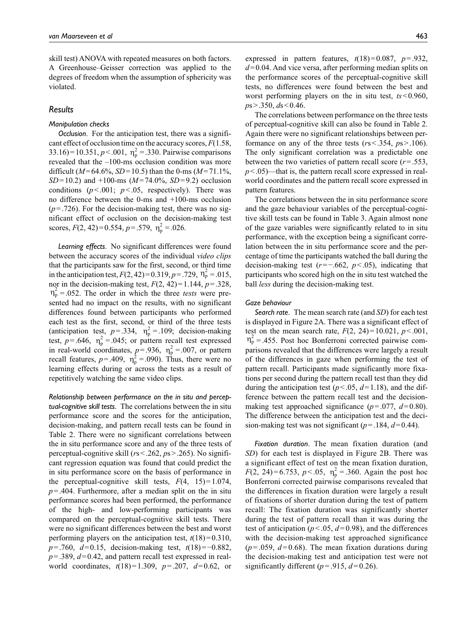skill test) ANOVA with repeated measures on both factors. A Greenhouse–Geisser correction was applied to the degrees of freedom when the assumption of sphericity was violated.

#### *Results*

#### *Manipulation checks*

*Occlusion*. For the anticipation test, there was a significant effect of occlusion time on the accuracy scores, *F*(1.58, 33.16) = 10.351,  $p < .001$ ,  $\eta_p^2 = .330$ . Pairwise comparisons revealed that the –100-ms occlusion condition was more difficult ( $M=64.6\%$ ,  $SD=10.5$ ) than the 0-ms ( $M=71.1\%$ , *SD*=10.2) and +100-ms (*M*=74.0%, *SD*=9.2) occlusion conditions  $(p<.001; p<.05$ , respectively). There was no difference between the 0-ms and +100-ms occlusion  $(p=0.726)$ . For the decision-making test, there was no significant effect of occlusion on the decision-making test scores,  $F(2, 42) = 0.554$ ,  $p = .579$ ,  $\eta_p^2 = .026$ .

*Learning effects*. No significant differences were found between the accuracy scores of the individual *video clips* that the participants saw for the first, second, or third time in the anticipation test,  $F(2, 42) = 0.319$ ,  $p = .729$ ,  $n_p^2 = .015$ , nor in the decision-making test,  $F(2, 42)=1.144$ ,  $p=.328$ ,  $\eta_{\rm p}^2$  = .052. The order in which the three *tests* were presented had no impact on the results, with no significant differences found between participants who performed each test as the first, second, or third of the three tests (anticipation test,  $p = 0.334$ ,  $\eta_p^2 = 0.109$ ; decision-making test,  $p = .646$ ,  $\eta_p^2 = .045$ ; or pattern recall test expressed in real-world coordinates,  $p = .936$ ,  $\eta_p^2 = .007$ , or pattern recall features,  $p = .409$ ,  $\eta_p^2 = .090$ ). Thus, there were no learning effects during or across the tests as a result of repetitively watching the same video clips.

*Relationship between performance on the in situ and perceptual-cognitive skill tests.* The correlations between the in situ performance score and the scores for the anticipation, decision-making, and pattern recall tests can be found in Table 2. There were no significant correlations between the in situ performance score and any of the three tests of perceptual-cognitive skill (*r*s<.262, *p*s>.265). No significant regression equation was found that could predict the in situ performance score on the basis of performance in the perceptual-cognitive skill tests,  $F(4, 15)=1.074$ , *p*=.404. Furthermore, after a median split on the in situ performance scores had been performed, the performance of the high- and low-performing participants was compared on the perceptual-cognitive skill tests. There were no significant differences between the best and worst performing players on the anticipation test,  $t(18)=0.310$ , *p*=.760, *d*=0.15, decision-making test, *t*(18)=−0.882, *p*=.389, *d*=0.42, and pattern recall test expressed in realworld coordinates, *t*(18)=1.309, *p*=.207, *d*=0.62, or

expressed in pattern features,  $t(18)=0.087$ ,  $p=.932$ , *d*=0.04. And vice versa, after performing median splits on the performance scores of the perceptual-cognitive skill tests, no differences were found between the best and worst performing players on the in situ test, *ts*<0.960, *p*s>.350, *d*s<0.46.

The correlations between performance on the three tests of perceptual-cognitive skill can also be found in Table 2. Again there were no significant relationships between performance on any of the three tests (*r*s<.354, *p*s>.106). The only significant correlation was a predictable one between the two varieties of pattern recall score (*r*=.553, *p* < .05)—that is, the pattern recall score expressed in realworld coordinates and the pattern recall score expressed in pattern features.

The correlations between the in situ performance score and the gaze behaviour variables of the perceptual-cognitive skill tests can be found in Table 3. Again almost none of the gaze variables were significantly related to in situ performance, with the exception being a significant correlation between the in situ performance score and the percentage of time the participants watched the ball during the decision-making test (*r*=−.662, *p*<.05), indicating that participants who scored high on the in situ test watched the ball *less* during the decision-making test.

#### *Gaze behaviour*

*Search rate*. The mean search rate (and *SD*) for each test is displayed in Figure 2A. There was a significant effect of test on the mean search rate,  $F(2, 24) = 10.021$ ,  $p < .001$ ,  $\eta_p^2$  = 455. Post hoc Bonferroni corrected pairwise comparisons revealed that the differences were largely a result of the differences in gaze when performing the test of pattern recall. Participants made significantly more fixations per second during the pattern recall test than they did during the anticipation test ( $p < .05$ ,  $d = 1.18$ ), and the difference between the pattern recall test and the decisionmaking test approached significance ( $p = .077$ ,  $d = 0.80$ ). The difference between the anticipation test and the decision-making test was not significant  $(p=184, d=0.44)$ .

*Fixation duration*. The mean fixation duration (and *SD*) for each test is displayed in Figure 2B. There was a significant effect of test on the mean fixation duration, *F*(2, 24)=6.753, *p* < .05,  $\eta_p^2$  = .360. Again the post hoc Bonferroni corrected pairwise comparisons revealed that the differences in fixation duration were largely a result of fixations of shorter duration during the test of pattern recall: The fixation duration was significantly shorter during the test of pattern recall than it was during the test of anticipation ( $p < .05$ ,  $d=0.98$ ), and the differences with the decision-making test approached significance  $(p=.059, d=0.68)$ . The mean fixation durations during the decision-making test and anticipation test were not significantly different ( $p = .915$ ,  $d = 0.26$ ).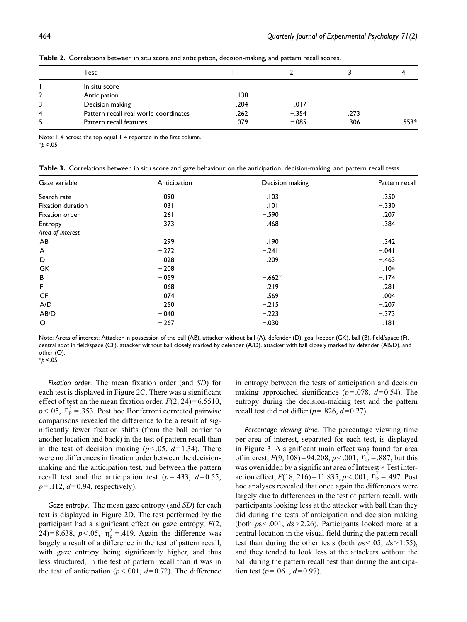|   | ້                                     |         |         |      |       |
|---|---------------------------------------|---------|---------|------|-------|
|   | Test                                  |         |         |      |       |
|   | In situ score                         |         |         |      |       |
| 2 | Anticipation                          | .138    |         |      |       |
| 3 | Decision making                       | $-.204$ | .017    |      |       |
| 4 | Pattern recall real world coordinates | .262    | $-.354$ | .273 |       |
| 5 | Pattern recall features               | .079    | $-.085$ | .306 | .553* |

**Table 2.** Correlations between in situ score and anticipation, decision-making, and pattern recall scores.

Note: 1-4 across the top equal 1-4 reported in the first column. \**p*<.05.

**Table 3.** Correlations between in situ score and gaze behaviour on the anticipation, decision-making, and pattern recall tests.

| Gaze variable     | Anticipation | Decision making | Pattern recall |  |
|-------------------|--------------|-----------------|----------------|--|
| Search rate       | .090         | .103            | .350           |  |
| Fixation duration | .031         | .101            | $-.330$        |  |
| Fixation order    | .261         | $-.590$         | .207           |  |
| Entropy           | .373         | .468            | .384           |  |
| Area of interest  |              |                 |                |  |
| AB                | .299         | .190            | .342           |  |
| A                 | $-.272$      | $-.241$         | $-.041$        |  |
| D                 | .028         | .209            | $-.463$        |  |
| GK                | $-.208$      |                 | .104           |  |
| В                 | $-.059$      | $-.662*$        | $-174$         |  |
| F                 | .068         | .219            | .281           |  |
| CF                | .074         | .569            | .004           |  |
| A/D               | .250         | $-.215$         | $-.207$        |  |
| AB/D              | $-.040$      | $-.223$         | $-.373$        |  |
| $\circ$           | $-.267$      | $-.030$         | .181           |  |

Note: Areas of interest: Attacker in possession of the ball (AB), attacker without ball (A), defender (D), goal keeper (GK), ball (B), field/space (F), central spot in field/space (CF), attacker without ball closely marked by defender (A/D), attacker with ball closely marked by defender (AB/D), and other (O). \**p*<.05.

*Fixation order*. The mean fixation order (and *SD*) for each test is displayed in Figure 2C. There was a significant effect of test on the mean fixation order,  $F(2, 24) = 6.5510$ ,  $p < .05$ ,  $\eta_p^2 = .353$ . Post hoc Bonferroni corrected pairwise comparisons revealed the difference to be a result of significantly fewer fixation shifts (from the ball carrier to another location and back) in the test of pattern recall than in the test of decision making  $(p<0.05, d=1.34)$ . There were no differences in fixation order between the decisionmaking and the anticipation test, and between the pattern recall test and the anticipation test  $(p=.433, d=0.55;$ *p*=.112, *d*=0.94, respectively).

*Gaze entropy*. The mean gaze entropy (and *SD*) for each test is displayed in Figure 2D. The test performed by the participant had a significant effect on gaze entropy, *F*(2, 24)=8.638,  $p < .05$ ,  $\eta_p^2 = .419$ . Again the difference was largely a result of a difference in the test of pattern recall, with gaze entropy being significantly higher, and thus less structured, in the test of pattern recall than it was in the test of anticipation ( $p$ <.001,  $d$ =0.72). The difference

in entropy between the tests of anticipation and decision making approached significance  $(p=0.078, d=0.54)$ . The entropy during the decision-making test and the pattern recall test did not differ  $(p=.826, d=0.27)$ .

*Percentage viewing time*. The percentage viewing time per area of interest, separated for each test, is displayed in Figure 3. A significant main effect was found for area of interest,  $F(9, 108) = 94.208$ ,  $p < .001$ ,  $n_p^2 = .887$ , but this was overridden by a significant area of Interest × Test interaction effect,  $F(18, 216) = 11.835$ ,  $p < .001$ ,  $n_p^2 = .497$ . Post hoc analyses revealed that once again the differences were largely due to differences in the test of pattern recall, with participants looking less at the attacker with ball than they did during the tests of anticipation and decision making (both *p*s<.001, *d*s>2.26). Participants looked more at a central location in the visual field during the pattern recall test than during the other tests (both *p*s<.05, *d*s>1.55), and they tended to look less at the attackers without the ball during the pattern recall test than during the anticipation test ( $p = .061$ ,  $d = 0.97$ ).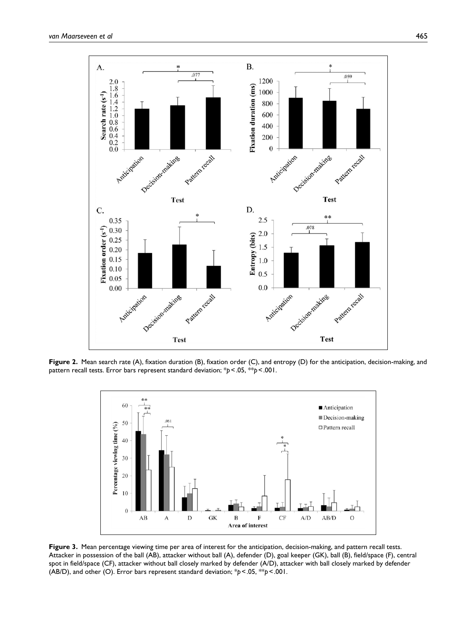

**Figure 2.** Mean search rate (A), fixation duration (B), fixation order (C), and entropy (D) for the anticipation, decision-making, and pattern recall tests. Error bars represent standard deviation; \**p*<.05, \*\**p*<.001.



**Figure 3.** Mean percentage viewing time per area of interest for the anticipation, decision-making, and pattern recall tests. Attacker in possession of the ball (AB), attacker without ball (A), defender (D), goal keeper (GK), ball (B), field/space (F), central spot in field/space (CF), attacker without ball closely marked by defender (A/D), attacker with ball closely marked by defender (AB/D), and other (O). Error bars represent standard deviation; \**p*<.05, \*\**p*<.001.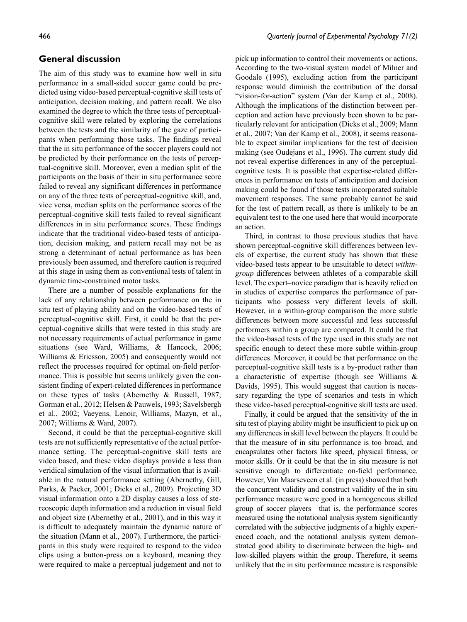#### **General discussion**

The aim of this study was to examine how well in situ performance in a small-sided soccer game could be predicted using video-based perceptual-cognitive skill tests of anticipation, decision making, and pattern recall. We also examined the degree to which the three tests of perceptualcognitive skill were related by exploring the correlations between the tests and the similarity of the gaze of participants when performing those tasks. The findings reveal that the in situ performance of the soccer players could not be predicted by their performance on the tests of perceptual-cognitive skill. Moreover, even a median split of the participants on the basis of their in situ performance score failed to reveal any significant differences in performance on any of the three tests of perceptual-cognitive skill, and, vice versa, median splits on the performance scores of the perceptual-cognitive skill tests failed to reveal significant differences in in situ performance scores. These findings indicate that the traditional video-based tests of anticipation, decision making, and pattern recall may not be as strong a determinant of actual performance as has been previously been assumed, and therefore caution is required at this stage in using them as conventional tests of talent in dynamic time-constrained motor tasks.

There are a number of possible explanations for the lack of any relationship between performance on the in situ test of playing ability and on the video-based tests of perceptual-cognitive skill. First, it could be that the perceptual-cognitive skills that were tested in this study are not necessary requirements of actual performance in game situations (see Ward, Williams, & Hancock, 2006; Williams & Ericsson, 2005) and consequently would not reflect the processes required for optimal on-field performance. This is possible but seems unlikely given the consistent finding of expert-related differences in performance on these types of tasks (Abernethy & Russell, 1987; Gorman et al., 2012; Helsen & Pauwels, 1993; Savelsbergh et al., 2002; Vaeyens, Lenoir, Williams, Mazyn, et al., 2007; Williams & Ward, 2007).

Second, it could be that the perceptual-cognitive skill tests are not sufficiently representative of the actual performance setting. The perceptual-cognitive skill tests are video based, and these video displays provide a less than veridical simulation of the visual information that is available in the natural performance setting (Abernethy, Gill, Parks, & Packer, 2001; Dicks et al., 2009). Projecting 3D visual information onto a 2D display causes a loss of stereoscopic depth information and a reduction in visual field and object size (Abernethy et al., 2001), and in this way it is difficult to adequately maintain the dynamic nature of the situation (Mann et al., 2007). Furthermore, the participants in this study were required to respond to the video clips using a button-press on a keyboard, meaning they were required to make a perceptual judgement and not to

pick up information to control their movements or actions. According to the two-visual system model of Milner and Goodale (1995), excluding action from the participant response would diminish the contribution of the dorsal "vision-for-action" system (Van der Kamp et al., 2008). Although the implications of the distinction between perception and action have previously been shown to be particularly relevant for anticipation (Dicks et al., 2009; Mann et al., 2007; Van der Kamp et al., 2008), it seems reasonable to expect similar implications for the test of decision making (see Oudejans et al., 1996). The current study did not reveal expertise differences in any of the perceptualcognitive tests. It is possible that expertise-related differences in performance on tests of anticipation and decision making could be found if those tests incorporated suitable movement responses. The same probably cannot be said for the test of pattern recall, as there is unlikely to be an equivalent test to the one used here that would incorporate an action.

Third, in contrast to those previous studies that have shown perceptual-cognitive skill differences between levels of expertise, the current study has shown that these video-based tests appear to be unsuitable to detect *withingroup* differences between athletes of a comparable skill level. The expert–novice paradigm that is heavily relied on in studies of expertise compares the performance of participants who possess very different levels of skill. However, in a within-group comparison the more subtle differences between more successful and less successful performers within a group are compared. It could be that the video-based tests of the type used in this study are not specific enough to detect these more subtle within-group differences. Moreover, it could be that performance on the perceptual-cognitive skill tests is a by-product rather than a characteristic of expertise (though see Williams & Davids, 1995). This would suggest that caution is necessary regarding the type of scenarios and tests in which these video-based perceptual-cognitive skill tests are used.

Finally, it could be argued that the sensitivity of the in situ test of playing ability might be insufficient to pick up on any differences in skill level between the players. It could be that the measure of in situ performance is too broad, and encapsulates other factors like speed, physical fitness, or motor skills. Or it could be that the in situ measure is not sensitive enough to differentiate on-field performance. However, Van Maarseveen et al. (in press) showed that both the concurrent validity and construct validity of the in situ performance measure were good in a homogeneous skilled group of soccer players—that is, the performance scores measured using the notational analysis system significantly correlated with the subjective judgments of a highly experienced coach, and the notational analysis system demonstrated good ability to discriminate between the high- and low-skilled players within the group. Therefore, it seems unlikely that the in situ performance measure is responsible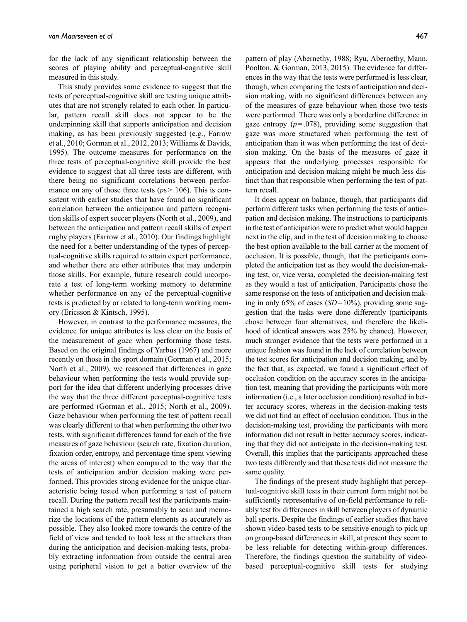for the lack of any significant relationship between the scores of playing ability and perceptual-cognitive skill measured in this study.

This study provides some evidence to suggest that the tests of perceptual-cognitive skill are testing unique attributes that are not strongly related to each other. In particular, pattern recall skill does not appear to be the underpinning skill that supports anticipation and decision making, as has been previously suggested (e.g., Farrow et al., 2010; Gorman et al., 2012, 2013; Williams & Davids, 1995). The outcome measures for performance on the three tests of perceptual-cognitive skill provide the best evidence to suggest that all three tests are different, with there being no significant correlations between performance on any of those three tests (*ps*>.106). This is consistent with earlier studies that have found no significant correlation between the anticipation and pattern recognition skills of expert soccer players (North et al., 2009), and between the anticipation and pattern recall skills of expert rugby players (Farrow et al., 2010). Our findings highlight the need for a better understanding of the types of perceptual-cognitive skills required to attain expert performance, and whether there are other attributes that may underpin those skills. For example, future research could incorporate a test of long-term working memory to determine whether performance on any of the perceptual-cognitive tests is predicted by or related to long-term working memory (Ericsson & Kintsch, 1995).

However, in contrast to the performance measures, the evidence for unique attributes is less clear on the basis of the measurement of *gaze* when performing those tests. Based on the original findings of Yarbus (1967) and more recently on those in the sport domain (Gorman et al., 2015; North et al., 2009), we reasoned that differences in gaze behaviour when performing the tests would provide support for the idea that different underlying processes drive the way that the three different perceptual-cognitive tests are performed (Gorman et al., 2015; North et al., 2009). Gaze behaviour when performing the test of pattern recall was clearly different to that when performing the other two tests, with significant differences found for each of the five measures of gaze behaviour (search rate, fixation duration, fixation order, entropy, and percentage time spent viewing the areas of interest) when compared to the way that the tests of anticipation and/or decision making were performed. This provides strong evidence for the unique characteristic being tested when performing a test of pattern recall. During the pattern recall test the participants maintained a high search rate, presumably to scan and memorize the locations of the pattern elements as accurately as possible. They also looked more towards the centre of the field of view and tended to look less at the attackers than during the anticipation and decision-making tests, probably extracting information from outside the central area using peripheral vision to get a better overview of the

pattern of play (Abernethy, 1988; Ryu, Abernethy, Mann, Poolton, & Gorman, 2013, 2015). The evidence for differences in the way that the tests were performed is less clear, though, when comparing the tests of anticipation and decision making, with no significant differences between any of the measures of gaze behaviour when those two tests were performed. There was only a borderline difference in gaze entropy  $(p=.078)$ , providing some suggestion that gaze was more structured when performing the test of anticipation than it was when performing the test of decision making. On the basis of the measures of gaze it appears that the underlying processes responsible for anticipation and decision making might be much less distinct than that responsible when performing the test of pattern recall.

It does appear on balance, though, that participants did perform different tasks when performing the tests of anticipation and decision making. The instructions to participants in the test of anticipation were to predict what would happen next in the clip, and in the test of decision making to choose the best option available to the ball carrier at the moment of occlusion. It is possible, though, that the participants completed the anticipation test as they would the decision-making test, or, vice versa, completed the decision-making test as they would a test of anticipation. Participants chose the same response on the tests of anticipation and decision making in only 65% of cases (*SD*=10%), providing some suggestion that the tasks were done differently (participants chose between four alternatives, and therefore the likelihood of identical answers was 25% by chance). However, much stronger evidence that the tests were performed in a unique fashion was found in the lack of correlation between the test scores for anticipation and decision making, and by the fact that, as expected, we found a significant effect of occlusion condition on the accuracy scores in the anticipation test, meaning that providing the participants with more information (i.e., a later occlusion condition) resulted in better accuracy scores, whereas in the decision-making tests we did not find an effect of occlusion condition. Thus in the decision-making test, providing the participants with more information did not result in better accuracy scores, indicating that they did not anticipate in the decision-making test. Overall, this implies that the participants approached these two tests differently and that these tests did not measure the same quality.

The findings of the present study highlight that perceptual-cognitive skill tests in their current form might not be sufficiently representative of on-field performance to reliably test for differences in skill between players of dynamic ball sports. Despite the findings of earlier studies that have shown video-based tests to be sensitive enough to pick up on group-based differences in skill, at present they seem to be less reliable for detecting within-group differences. Therefore, the findings question the suitability of videobased perceptual-cognitive skill tests for studying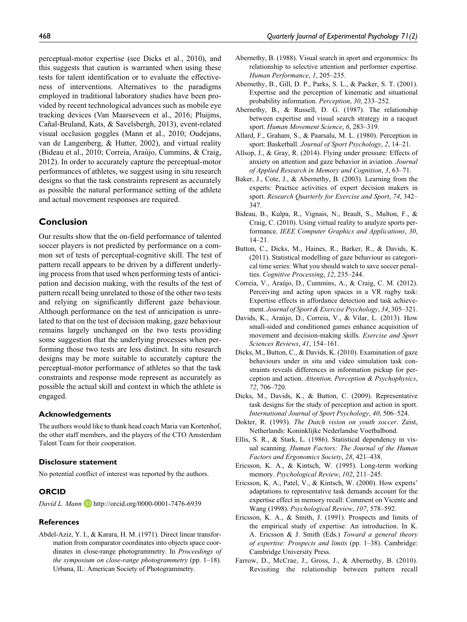perceptual-motor expertise (see Dicks et al., 2010), and this suggests that caution is warranted when using these tests for talent identification or to evaluate the effectiveness of interventions. Alternatives to the paradigms employed in traditional laboratory studies have been provided by recent technological advances such as mobile eye tracking devices (Van Maarseveen et al., 2016; Pluijms, Cañal-Bruland, Kats, & Savelsbergh, 2013), event-related visual occlusion goggles (Mann et al., 2010; Oudejans,

van de Langenberg, & Hutter, 2002), and virtual reality (Bideau et al., 2010; Correia, Araújo, Cummins, & Craig, 2012). In order to accurately capture the perceptual-motor performances of athletes, we suggest using in situ research designs so that the task constraints represent as accurately as possible the natural performance setting of the athlete and actual movement responses are required.

## **Conclusion**

Our results show that the on-field performance of talented soccer players is not predicted by performance on a common set of tests of perceptual-cognitive skill. The test of pattern recall appears to be driven by a different underlying process from that used when performing tests of anticipation and decision making, with the results of the test of pattern recall being unrelated to those of the other two tests and relying on significantly different gaze behaviour. Although performance on the test of anticipation is unrelated to that on the test of decision making, gaze behaviour remains largely unchanged on the two tests providing some suggestion that the underlying processes when performing those two tests are less distinct. In situ research designs may be more suitable to accurately capture the perceptual-motor performance of athletes so that the task constraints and response mode represent as accurately as possible the actual skill and context in which the athlete is engaged.

#### **Acknowledgements**

The authors would like to thank head coach Maria van Kortenhof, the other staff members, and the players of the CTO Amsterdam Talent Team for their cooperation.

#### **Disclosure statement**

No potential conflict of interest was reported by the authors.

#### **ORCID**

*David L. Mann* <http://orcid.org/0000-0001-7476-6939>

#### **References**

Abdel-Aziz, Y. I., & Karara, H. M. (1971). Direct linear transformation from comparator coordinates into objects space coordinates in close-range photogrammetry. In *Proceedings of the symposium on close-range photogrammetry* (pp. 1–18). Urbana, IL: American Society of Photogrammetry.

- Abernethy, B. (1988). Visual search in sport and ergonomics: Its relationship to selective attention and performer expertise. *Human Performance*, *1*, 205–235.
- Abernethy, B., Gill, D. P., Parks, S. L., & Packer, S. T. (2001). Expertise and the perception of kinematic and situational probability information. *Perception*, *30*, 233–252.
- Abernethy, B., & Russell, D. G. (1987). The relationship between expertise and visual search strategy in a racquet sport. *Human Movement Science*, *6*, 283–319.
- Allard, F., Graham, S., & Paarsalu, M. L. (1980). Perception in sport: Basketball. *Journal of Sport Psychology*, *2*, 14–21.
- Allsop, J., & Gray, R. (2014). Flying under pressure: Effects of anxiety on attention and gaze behavior in aviation. *Journal of Applied Research in Memory and Cognition*, *3*, 63–71.
- Baker, J., Cote, J., & Abernethy, B. (2003). Learning from the experts: Practice activities of expert decision makers in sport. *Research Quarterly for Exercise and Sport*, *74*, 342– 347.
- Bideau, B., Kulpa, R., Vignais, N., Brault, S., Multon, F., & Craig, C. (2010). Using virtual reality to analyze sports performance. *IEEE Computer Graphics and Applications*, *30*, 14–21.
- Button, C., Dicks, M., Haines, R., Barker, R., & Davids, K. (2011). Statistical modelling of gaze behaviour as categorical time series: What you should watch to save soccer penalties. *Cognitive Processing*, *12*, 235–244.
- Correia, V., Araújo, D., Cummins, A., & Craig, C. M. (2012). Perceiving and acting upon spaces in a VR rugby task: Expertise effects in affordance detection and task achievement. *Journal of Sport & Exercise Psychology*, *34*, 305–321.
- Davids, K., Araújo, D., Correia, V., & Vilar, L. (2013). How small-sided and conditioned games enhance acquisition of movement and decision-making skills. *Exercise and Sport Sciences Reviews*, *41*, 154–161.
- Dicks, M., Button, C., & Davids, K. (2010). Examination of gaze behaviours under in situ and video simulation task constraints reveals differences in information pickup for perception and action. *Attention, Perception & Psychophysics*, *72*, 706–720.
- Dicks, M., Davids, K., & Button, C. (2009). Representative task designs for the study of perception and action in sport. *International Journal of Sport Psychology*, *40*, 506–524.
- Dokter, R. (1993). *The Dutch vision on youth soccer*. Zeist, Netherlands: Koninklijke Nederlandse Voetbalbond.
- Ellis, S. R., & Stark, L. (1986). Statistical dependency in visual scanning. *Human Factors: The Journal of the Human Factors and Ergonomics Society*, *28*, 421–438.
- Ericsson, K. A., & Kintsch, W. (1995). Long-term working memory. *Psychological Review*, *102*, 211–245.
- Ericsson, K. A., Patel, V., & Kintsch, W. (2000). How experts' adaptations to representative task demands account for the expertise effect in memory recall: Comment on Vicente and Wang (1998). *Psychological Review*, *107*, 578–592.
- Ericsson, K. A., & Smith, J. (1991). Prospects and limits of the empirical study of expertise: An introduction. In K. A. Ericsson & J. Smith (Eds.) *Toward a general theory of expertise: Prospects and limits* (pp. 1–38). Cambridge: Cambridge University Press.
- Farrow, D., McCrae, J., Gross, J., & Abernethy, B. (2010). Revisiting the relationship between pattern recall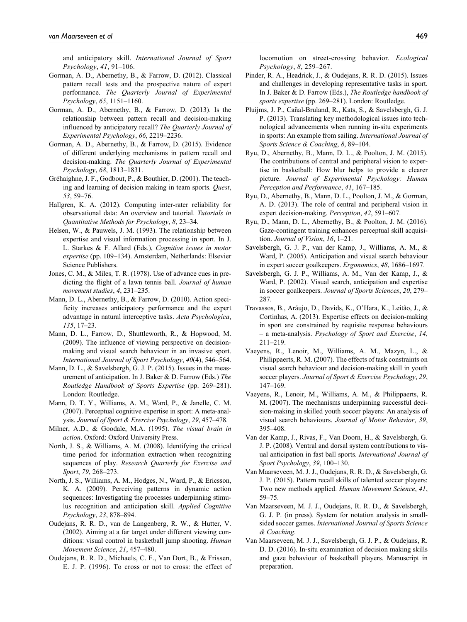and anticipatory skill. *International Journal of Sport Psychology*, *41*, 91–106.

- Gorman, A. D., Abernethy, B., & Farrow, D. (2012). Classical pattern recall tests and the prospective nature of expert performance. *The Quarterly Journal of Experimental Psychology*, *65*, 1151–1160.
- Gorman, A. D., Abernethy, B., & Farrow, D. (2013). Is the relationship between pattern recall and decision-making influenced by anticipatory recall? *The Quarterly Journal of Experimental Psychology*, *66*, 2219–2236.
- Gorman, A. D., Abernethy, B., & Farrow, D. (2015). Evidence of different underlying mechanisms in pattern recall and decision-making. *The Quarterly Journal of Experimental Psychology*, *68*, 1813–1831.
- Gréhaighne, J. F., Godbout, P., & Bouthier, D. (2001). The teaching and learning of decision making in team sports. *Quest*, *53*, 59–76.
- Hallgren, K. A. (2012). Computing inter-rater reliability for observational data: An overview and tutorial. *Tutorials in Quantitative Methods for Psychology*, *8*, 23–34.
- Helsen, W., & Pauwels, J. M. (1993). The relationship between expertise and visual information processing in sport. In J. L. Starkes & F. Allard (Eds.), *Cognitive issues in motor expertise* (pp. 109–134). Amsterdam, Netherlands: Elsevier Science Publishers.
- Jones, C. M., & Miles, T. R. (1978). Use of advance cues in predicting the flight of a lawn tennis ball. *Journal of human movement studies*, *4*, 231–235.
- Mann, D. L., Abernethy, B., & Farrow, D. (2010). Action specificity increases anticipatory performance and the expert advantage in natural interceptive tasks. *Acta Psychologica*, *135*, 17–23.
- Mann, D. L., Farrow, D., Shuttleworth, R., & Hopwood, M. (2009). The influence of viewing perspective on decisionmaking and visual search behaviour in an invasive sport. *International Journal of Sport Psychology*, *40*(4), 546–564.
- Mann, D. L., & Savelsbergh, G. J. P. (2015). Issues in the measurement of anticipation. In J. Baker & D. Farrow (Eds.) *The Routledge Handbook of Sports Expertise* (pp. 269–281). London: Routledge.
- Mann, D. T. Y., Williams, A. M., Ward, P., & Janelle, C. M. (2007). Perceptual cognitive expertise in sport: A meta-analysis. *Journal of Sport & Exercise Psychology*, *29*, 457–478.
- Milner, A.D., & Goodale, M.A. (1995). *The visual brain in action*. Oxford: Oxford University Press.
- North, J. S., & Williams, A. M. (2008). Identifying the critical time period for information extraction when recognizing sequences of play. *Research Quarterly for Exercise and Sport*, *79*, 268–273.
- North, J. S., Williams, A. M., Hodges, N., Ward, P., & Ericsson, K. A. (2009). Perceiving patterns in dynamic action sequences: Investigating the processes underpinning stimulus recognition and anticipation skill. *Applied Cognitive Psychology*, *23*, 878–894.
- Oudejans, R. R. D., van de Langenberg, R. W., & Hutter, V. (2002). Aiming at a far target under different viewing conditions: visual control in basketball jump shooting. *Human Movement Science*, *21*, 457–480.
- Oudejans, R. R. D., Michaels, C. F., Van Dort, B., & Frissen, E. J. P. (1996). To cross or not to cross: the effect of

locomotion on street-crossing behavior. *Ecological Psychology*, *8*, 259–267.

- Pinder, R. A., Headrick, J., & Oudejans, R. R. D. (2015). Issues and challenges in developing representative tasks in sport. In J. Baker & D. Farrow (Eds.), *The Routledge handbook of sports expertise* (pp. 269–281). London: Routledge.
- Pluijms, J. P., Cañal-Bruland, R., Kats, S., & Savelsbergh, G. J. P. (2013). Translating key methodological issues into technological advancements when running in-situ experiments in sports: An example from sailing. *International Journal of Sports Science & Coaching*, *8*, 89–104.
- Ryu, D., Abernethy, B., Mann, D. L., & Poolton, J. M. (2015). The contributions of central and peripheral vision to expertise in basketball: How blur helps to provide a clearer picture. *Journal of Experimental Psychology: Human Perception and Performance*, *41*, 167–185.
- Ryu, D., Abernethy, B., Mann, D. L., Poolton, J. M., & Gorman, A. D. (2013). The role of central and peripheral vision in expert decision-making. *Perception*, *42*, 591–607.
- Ryu, D., Mann, D. L., Abernethy, B., & Poolton, J. M. (2016). Gaze-contingent training enhances perceptual skill acquisition. *Journal of Vision*, *16*, 1–21.
- Savelsbergh, G. J. P., van der Kamp, J., Williams, A. M., & Ward, P. (2005). Anticipation and visual search behaviour in expert soccer goalkeepers. *Ergonomics*, *48*, 1686–1697.
- Savelsbergh, G. J. P., Williams, A. M., Van der Kamp, J., & Ward, P. (2002). Visual search, anticipation and expertise in soccer goalkeepers. *Journal of Sports Sciences*, *20*, 279– 287.
- Travassos, B., Aráujo, D., Davids, K., O'Hara, K., Leitão, J., & Cortinhas, A. (2013). Expertise effects on decision-making in sport are constrained by requisite response behaviours – a meta-analysis. *Psychology of Sport and Exercise*, *14*, 211–219.
- Vaeyens, R., Lenoir, M., Williams, A. M., Mazyn, L., & Philippaerts, R. M. (2007). The effects of task constraints on visual search behaviour and decision-making skill in youth soccer players. *Journal of Sport & Exercise Psychology*, *29*, 147–169.
- Vaeyens, R., Lenoir, M., Williams, A. M., & Philippaerts, R. M. (2007). The mechanisms underpinning successful decision-making in skilled youth soccer players: An analysis of visual search behaviours. *Journal of Motor Behavior*, *39*, 395–408.
- Van der Kamp, J., Rivas, F., Van Doorn, H., & Savelsbergh, G. J. P. (2008). Ventral and dorsal system contributions to visual anticipation in fast ball sports. *International Journal of Sport Psychology*, *39*, 100–130.
- Van Maarseveen, M. J. J., Oudejans, R. R. D., & Savelsbergh, G. J. P. (2015). Pattern recall skills of talented soccer players: Two new methods applied. *Human Movement Science*, *41*, 59–75.
- Van Maarseveen, M. J. J., Oudejans, R. R. D., & Savelsbergh, G. J. P. (in press). System for notation analysis in smallsided soccer games. *International Journal of Sports Science & Coaching*.
- Van Maarseveen, M. J. J., Savelsbergh, G. J. P., & Oudejans, R. D. D. (2016). In-situ examination of decision making skills and gaze behaviour of basketball players. Manuscript in preparation.